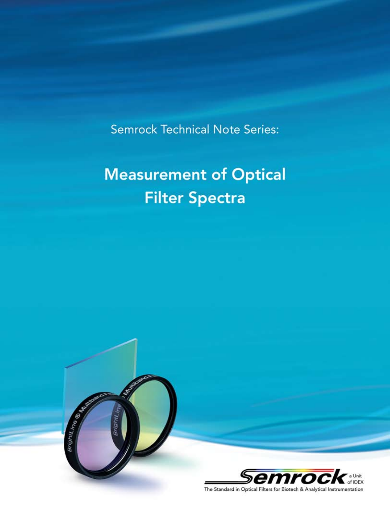**Semrock Technical Note Series:** 

# **Measurement of Optical Filter Spectra**

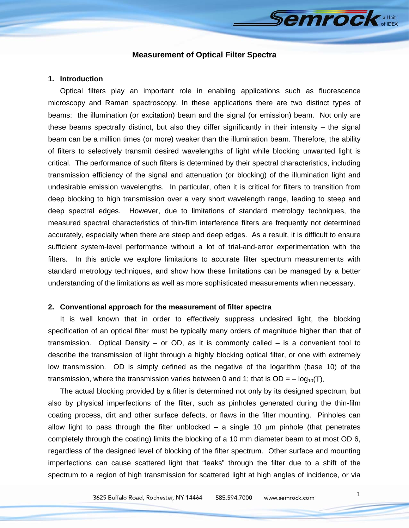# **Semrock**

# **Measurement of Optical Filter Spectra**

#### **1. Introduction**

Optical filters play an important role in enabling applications such as fluorescence microscopy and Raman spectroscopy. In these applications there are two distinct types of beams: the illumination (or excitation) beam and the signal (or emission) beam. Not only are these beams spectrally distinct, but also they differ significantly in their intensity – the signal beam can be a million times (or more) weaker than the illumination beam. Therefore, the ability of filters to selectively transmit desired wavelengths of light while blocking unwanted light is critical. The performance of such filters is determined by their spectral characteristics, including transmission efficiency of the signal and attenuation (or blocking) of the illumination light and undesirable emission wavelengths. In particular, often it is critical for filters to transition from deep blocking to high transmission over a very short wavelength range, leading to steep and deep spectral edges. However, due to limitations of standard metrology techniques, the measured spectral characteristics of thin-film interference filters are frequently not determined accurately, especially when there are steep and deep edges. As a result, it is difficult to ensure sufficient system-level performance without a lot of trial-and-error experimentation with the filters. In this article we explore limitations to accurate filter spectrum measurements with standard metrology techniques, and show how these limitations can be managed by a better understanding of the limitations as well as more sophisticated measurements when necessary.

#### **2. Conventional approach for the measurement of filter spectra**

It is well known that in order to effectively suppress undesired light, the blocking specification of an optical filter must be typically many orders of magnitude higher than that of transmission. Optical Density – or OD, as it is commonly called – is a convenient tool to describe the transmission of light through a highly blocking optical filter, or one with extremely low transmission. OD is simply defined as the negative of the logarithm (base 10) of the transmission, where the transmission varies between 0 and 1; that is  $OD = -log_{10}(T)$ .

The actual blocking provided by a filter is determined not only by its designed spectrum, but also by physical imperfections of the filter, such as pinholes generated during the thin-film coating process, dirt and other surface defects, or flaws in the filter mounting. Pinholes can allow light to pass through the filter unblocked – a single 10  $\mu$ m pinhole (that penetrates completely through the coating) limits the blocking of a 10 mm diameter beam to at most OD 6, regardless of the designed level of blocking of the filter spectrum. Other surface and mounting imperfections can cause scattered light that "leaks" through the filter due to a shift of the spectrum to a region of high transmission for scattered light at high angles of incidence, or via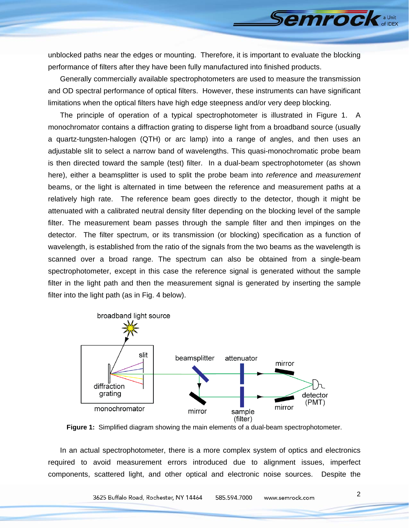unblocked paths near the edges or mounting. Therefore, it is important to evaluate the blocking performance of filters after they have been fully manufactured into finished products.

Generally commercially available spectrophotometers are used to measure the transmission and OD spectral performance of optical filters. However, these instruments can have significant limitations when the optical filters have high edge steepness and/or very deep blocking.

The principle of operation of a typical spectrophotometer is illustrated in Figure 1. A monochromator contains a diffraction grating to disperse light from a broadband source (usually a quartz-tungsten-halogen (QTH) or arc lamp) into a range of angles, and then uses an adjustable slit to select a narrow band of wavelengths. This quasi-monochromatic probe beam is then directed toward the sample (test) filter. In a dual-beam spectrophotometer (as shown here), either a beamsplitter is used to split the probe beam into *reference* and *measurement*  beams, or the light is alternated in time between the reference and measurement paths at a relatively high rate. The reference beam goes directly to the detector, though it might be attenuated with a calibrated neutral density filter depending on the blocking level of the sample filter. The measurement beam passes through the sample filter and then impinges on the detector. The filter spectrum, or its transmission (or blocking) specification as a function of wavelength, is established from the ratio of the signals from the two beams as the wavelength is scanned over a broad range. The spectrum can also be obtained from a single-beam spectrophotometer, except in this case the reference signal is generated without the sample filter in the light path and then the measurement signal is generated by inserting the sample filter into the light path (as in Fig. 4 below).



**Figure 1:** Simplified diagram showing the main elements of a dual-beam spectrophotometer.

In an actual spectrophotometer, there is a more complex system of optics and electronics required to avoid measurement errors introduced due to alignment issues, imperfect components, scattered light, and other optical and electronic noise sources. Despite the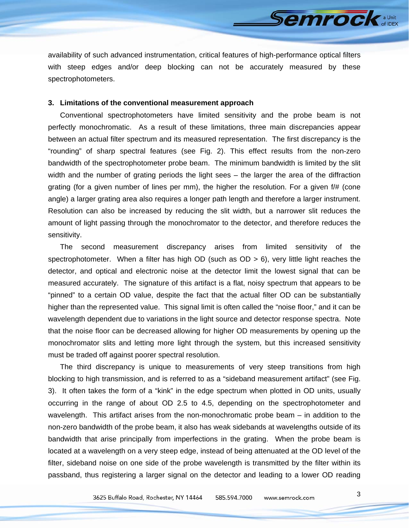availability of such advanced instrumentation, critical features of high-performance optical filters with steep edges and/or deep blocking can not be accurately measured by these spectrophotometers.

## **3. Limitations of the conventional measurement approach**

Conventional spectrophotometers have limited sensitivity and the probe beam is not perfectly monochromatic. As a result of these limitations, three main discrepancies appear between an actual filter spectrum and its measured representation. The first discrepancy is the "rounding" of sharp spectral features (see Fig. 2). This effect results from the non-zero bandwidth of the spectrophotometer probe beam. The minimum bandwidth is limited by the slit width and the number of grating periods the light sees – the larger the area of the diffraction grating (for a given number of lines per mm), the higher the resolution. For a given f/# (cone angle) a larger grating area also requires a longer path length and therefore a larger instrument. Resolution can also be increased by reducing the slit width, but a narrower slit reduces the amount of light passing through the monochromator to the detector, and therefore reduces the sensitivity.

The second measurement discrepancy arises from limited sensitivity of the spectrophotometer. When a filter has high OD (such as  $OD > 6$ ), very little light reaches the detector, and optical and electronic noise at the detector limit the lowest signal that can be measured accurately. The signature of this artifact is a flat, noisy spectrum that appears to be "pinned" to a certain OD value, despite the fact that the actual filter OD can be substantially higher than the represented value. This signal limit is often called the "noise floor," and it can be wavelength dependent due to variations in the light source and detector response spectra. Note that the noise floor can be decreased allowing for higher OD measurements by opening up the monochromator slits and letting more light through the system, but this increased sensitivity must be traded off against poorer spectral resolution.

The third discrepancy is unique to measurements of very steep transitions from high blocking to high transmission, and is referred to as a "sideband measurement artifact" (see Fig. 3). It often takes the form of a "kink" in the edge spectrum when plotted in OD units, usually occurring in the range of about OD 2.5 to 4.5, depending on the spectrophotometer and wavelength. This artifact arises from the non-monochromatic probe beam – in addition to the non-zero bandwidth of the probe beam, it also has weak sidebands at wavelengths outside of its bandwidth that arise principally from imperfections in the grating. When the probe beam is located at a wavelength on a very steep edge, instead of being attenuated at the OD level of the filter, sideband noise on one side of the probe wavelength is transmitted by the filter within its passband, thus registering a larger signal on the detector and leading to a lower OD reading

**Semrock** a Unit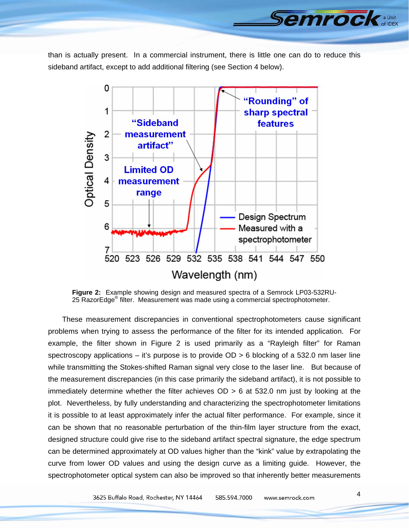than is actually present. In a commercial instrument, there is little one can do to reduce this sideband artifact, except to add additional filtering (see Section 4 below).



**Figure 2:** Example showing design and measured spectra of a Semrock LP03-532RU-25 RazorEdge® filter. Measurement was made using a commercial spectrophotometer.

 These measurement discrepancies in conventional spectrophotometers cause significant problems when trying to assess the performance of the filter for its intended application. For example, the filter shown in Figure 2 is used primarily as a "Rayleigh filter" for Raman spectroscopy applications – it's purpose is to provide OD > 6 blocking of a 532.0 nm laser line while transmitting the Stokes-shifted Raman signal very close to the laser line. But because of the measurement discrepancies (in this case primarily the sideband artifact), it is not possible to immediately determine whether the filter achieves OD > 6 at 532.0 nm just by looking at the plot. Nevertheless, by fully understanding and characterizing the spectrophotometer limitations it is possible to at least approximately infer the actual filter performance. For example, since it can be shown that no reasonable perturbation of the thin-film layer structure from the exact, designed structure could give rise to the sideband artifact spectral signature, the edge spectrum can be determined approximately at OD values higher than the "kink" value by extrapolating the curve from lower OD values and using the design curve as a limiting guide. However, the spectrophotometer optical system can also be improved so that inherently better measurements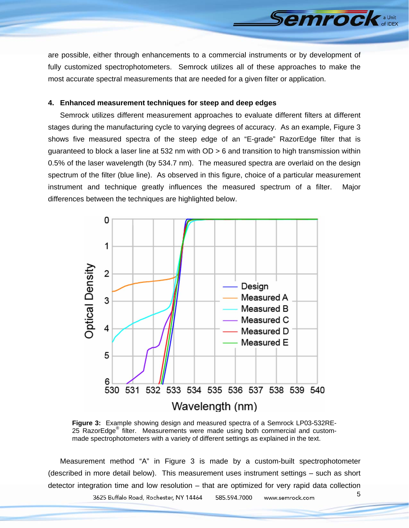are possible, either through enhancements to a commercial instruments or by development of fully customized spectrophotometers. Semrock utilizes all of these approaches to make the most accurate spectral measurements that are needed for a given filter or application.

**Semrock** 

# **4. Enhanced measurement techniques for steep and deep edges**

Semrock utilizes different measurement approaches to evaluate different filters at different stages during the manufacturing cycle to varying degrees of accuracy. As an example, Figure 3 shows five measured spectra of the steep edge of an "E-grade" RazorEdge filter that is guaranteed to block a laser line at 532 nm with OD > 6 and transition to high transmission within 0.5% of the laser wavelength (by 534.7 nm). The measured spectra are overlaid on the design spectrum of the filter (blue line). As observed in this figure, choice of a particular measurement instrument and technique greatly influences the measured spectrum of a filter. Major differences between the techniques are highlighted below.



**Figure 3:** Example showing design and measured spectra of a Semrock LP03-532RE-25 RazorEdge<sup>®</sup> filter. Measurements were made using both commercial and custommade spectrophotometers with a variety of different settings as explained in the text.

Measurement method "A" in Figure 3 is made by a custom-built spectrophotometer (described in more detail below). This measurement uses instrument settings – such as short detector integration time and low resolution – that are optimized for very rapid data collection 5 3625 Buffalo Road, Rochester, NY 14464 585.594.7000 www.semrock.com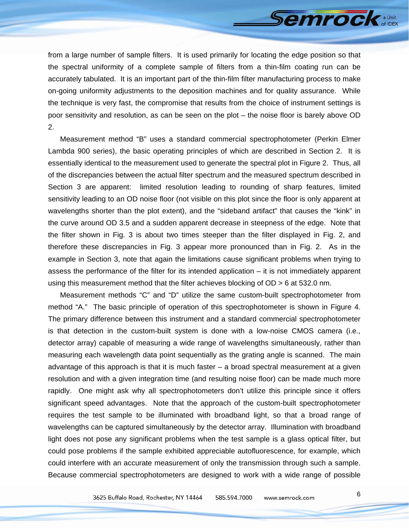

from a large number of sample filters. It is used primarily for locating the edge position so that the spectral uniformity of a complete sample of filters from a thin-film coating run can be accurately tabulated. It is an important part of the thin-film filter manufacturing process to make on-going uniformity adjustments to the deposition machines and for quality assurance. While the technique is very fast, the compromise that results from the choice of instrument settings is poor sensitivity and resolution, as can be seen on the plot – the noise floor is barely above OD 2.

Measurement method "B" uses a standard commercial spectrophotometer (Perkin Elmer Lambda 900 series), the basic operating principles of which are described in Section 2. It is essentially identical to the measurement used to generate the spectral plot in Figure 2. Thus, all of the discrepancies between the actual filter spectrum and the measured spectrum described in Section 3 are apparent: limited resolution leading to rounding of sharp features, limited sensitivity leading to an OD noise floor (not visible on this plot since the floor is only apparent at wavelengths shorter than the plot extent), and the "sideband artifact" that causes the "kink" in the curve around OD 3.5 and a sudden apparent decrease in steepness of the edge. Note that the filter shown in Fig. 3 is about two times steeper than the filter displayed in Fig. 2, and therefore these discrepancies in Fig. 3 appear more pronounced than in Fig. 2. As in the example in Section 3, note that again the limitations cause significant problems when trying to assess the performance of the filter for its intended application – it is not immediately apparent using this measurement method that the filter achieves blocking of OD > 6 at 532.0 nm.

Measurement methods "C" and "D" utilize the same custom-built spectrophotometer from method "A." The basic principle of operation of this spectrophotometer is shown in Figure 4. The primary difference between this instrument and a standard commercial spectrophotometer is that detection in the custom-built system is done with a low-noise CMOS camera (i.e., detector array) capable of measuring a wide range of wavelengths simultaneously, rather than measuring each wavelength data point sequentially as the grating angle is scanned. The main advantage of this approach is that it is much faster – a broad spectral measurement at a given resolution and with a given integration time (and resulting noise floor) can be made much more rapidly. One might ask why all spectrophotometers don't utilize this principle since it offers significant speed advantages. Note that the approach of the custom-built spectrophotometer requires the test sample to be illuminated with broadband light, so that a broad range of wavelengths can be captured simultaneously by the detector array. Illumination with broadband light does not pose any significant problems when the test sample is a glass optical filter, but could pose problems if the sample exhibited appreciable autofluorescence, for example, which could interfere with an accurate measurement of only the transmission through such a sample. Because commercial spectrophotometers are designed to work with a wide range of possible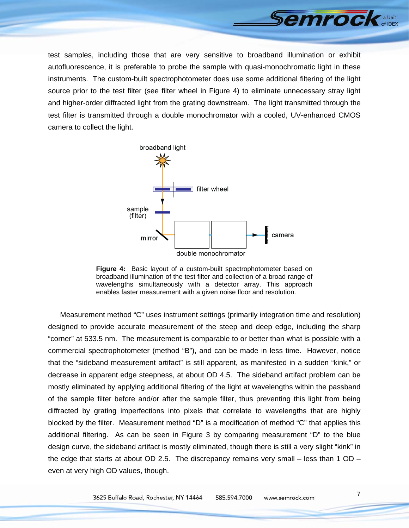

test samples, including those that are very sensitive to broadband illumination or exhibit autofluorescence, it is preferable to probe the sample with quasi-monochromatic light in these instruments. The custom-built spectrophotometer does use some additional filtering of the light source prior to the test filter (see filter wheel in Figure 4) to eliminate unnecessary stray light and higher-order diffracted light from the grating downstream. The light transmitted through the test filter is transmitted through a double monochromator with a cooled, UV-enhanced CMOS camera to collect the light.



**Figure 4:** Basic layout of a custom-built spectrophotometer based on broadband illumination of the test filter and collection of a broad range of wavelengths simultaneously with a detector array. This approach enables faster measurement with a given noise floor and resolution.

Measurement method "C" uses instrument settings (primarily integration time and resolution) designed to provide accurate measurement of the steep and deep edge, including the sharp "corner" at 533.5 nm. The measurement is comparable to or better than what is possible with a commercial spectrophotometer (method "B"), and can be made in less time. However, notice that the "sideband measurement artifact" is still apparent, as manifested in a sudden "kink," or decrease in apparent edge steepness, at about OD 4.5. The sideband artifact problem can be mostly eliminated by applying additional filtering of the light at wavelengths within the passband of the sample filter before and/or after the sample filter, thus preventing this light from being diffracted by grating imperfections into pixels that correlate to wavelengths that are highly blocked by the filter. Measurement method "D" is a modification of method "C" that applies this additional filtering. As can be seen in Figure 3 by comparing measurement "D" to the blue design curve, the sideband artifact is mostly eliminated, though there is still a very slight "kink" in the edge that starts at about OD 2.5. The discrepancy remains very small – less than 1 OD – even at very high OD values, though.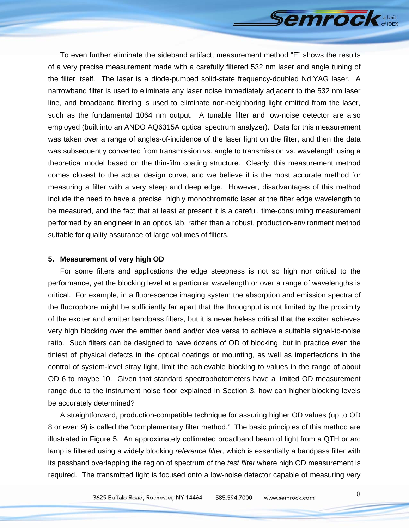**Semrock** a Unit

To even further eliminate the sideband artifact, measurement method "E" shows the results of a very precise measurement made with a carefully filtered 532 nm laser and angle tuning of the filter itself. The laser is a diode-pumped solid-state frequency-doubled Nd:YAG laser. A narrowband filter is used to eliminate any laser noise immediately adjacent to the 532 nm laser line, and broadband filtering is used to eliminate non-neighboring light emitted from the laser, such as the fundamental 1064 nm output. A tunable filter and low-noise detector are also employed (built into an ANDO AQ6315A optical spectrum analyzer). Data for this measurement was taken over a range of angles-of-incidence of the laser light on the filter, and then the data was subsequently converted from transmission vs. angle to transmission vs. wavelength using a theoretical model based on the thin-film coating structure. Clearly, this measurement method comes closest to the actual design curve, and we believe it is the most accurate method for measuring a filter with a very steep and deep edge. However, disadvantages of this method include the need to have a precise, highly monochromatic laser at the filter edge wavelength to be measured, and the fact that at least at present it is a careful, time-consuming measurement performed by an engineer in an optics lab, rather than a robust, production-environment method suitable for quality assurance of large volumes of filters.

#### **5. Measurement of very high OD**

For some filters and applications the edge steepness is not so high nor critical to the performance, yet the blocking level at a particular wavelength or over a range of wavelengths is critical. For example, in a fluorescence imaging system the absorption and emission spectra of the fluorophore might be sufficiently far apart that the throughput is not limited by the proximity of the exciter and emitter bandpass filters, but it is nevertheless critical that the exciter achieves very high blocking over the emitter band and/or vice versa to achieve a suitable signal-to-noise ratio. Such filters can be designed to have dozens of OD of blocking, but in practice even the tiniest of physical defects in the optical coatings or mounting, as well as imperfections in the control of system-level stray light, limit the achievable blocking to values in the range of about OD 6 to maybe 10. Given that standard spectrophotometers have a limited OD measurement range due to the instrument noise floor explained in Section 3, how can higher blocking levels be accurately determined?

A straightforward, production-compatible technique for assuring higher OD values (up to OD 8 or even 9) is called the "complementary filter method." The basic principles of this method are illustrated in Figure 5. An approximately collimated broadband beam of light from a QTH or arc lamp is filtered using a widely blocking *reference filter,* which is essentially a bandpass filter with its passband overlapping the region of spectrum of the *test filter* where high OD measurement is required. The transmitted light is focused onto a low-noise detector capable of measuring very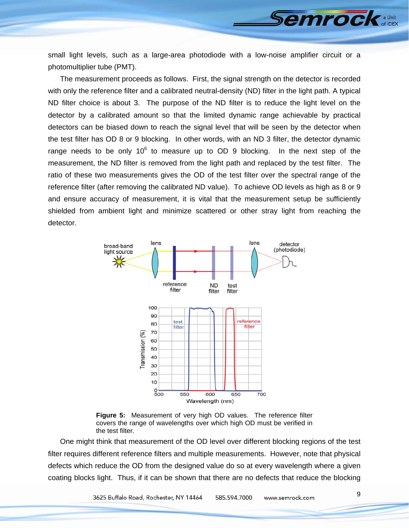small light levels, such as a large-area photodiode with a low-noise amplifier circuit or a photomultiplier tube (PMT).

The measurement proceeds as follows. First, the signal strength on the detector is recorded with only the reference filter and a calibrated neutral-density (ND) filter in the light path. A typical ND filter choice is about 3. The purpose of the ND filter is to reduce the light level on the detector by a calibrated amount so that the limited dynamic range achievable by practical detectors can be biased down to reach the signal level that will be seen by the detector when the test filter has OD 8 or 9 blocking. In other words, with an ND 3 filter, the detector dynamic range needs to be only  $10^6$  to measure up to OD 9 blocking. In the next step of the measurement, the ND filter is removed from the light path and replaced by the test filter. The ratio of these two measurements gives the OD of the test filter over the spectral range of the reference filter (after removing the calibrated ND value). To achieve OD levels as high as 8 or 9 and ensure accuracy of measurement, it is vital that the measurement setup be sufficiently shielded from ambient light and minimize scattered or other stray light from reaching the detector.





One might think that measurement of the OD level over different blocking regions of the test filter requires different reference filters and multiple measurements. However, note that physical defects which reduce the OD from the designed value do so at every wavelength where a given coating blocks light. Thus, if it can be shown that there are no defects that reduce the blocking